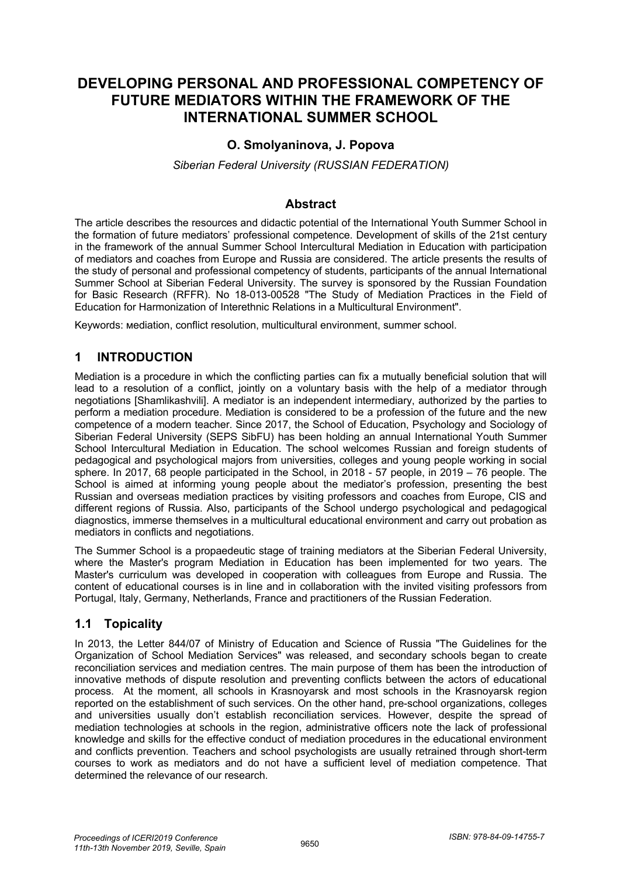# **DEVELOPING PERSONAL AND PROFESSIONAL COMPETENCY OF FUTURE MEDIATORS WITHIN THE FRAMEWORK OF THE INTERNATIONAL SUMMER SCHOOL**

### **O. Smolyaninova, J. Popova**

*Siberian Federal University (RUSSIAN FEDERATION)*

#### **Abstract**

The article describes the resources and didactic potential of the International Youth Summer School in the formation of future mediators' professional competence. Development of skills of the 21st century in the framework of the annual Summer School Intercultural Mediation in Education with participation of mediators and coaches from Europe and Russia are considered. The article presents the results of the study of personal and professional competency of students, participants of the annual International Summer School at Siberian Federal University. The survey is sponsored by the Russian Foundation for Basic Research (RFFR). No 18-013-00528 "The Study of Mediation Practices in the Field of Education for Harmonization of Interethnic Relations in a Multicultural Environment".

Keywords: мediation, conflict resolution, multicultural environment, summer school.

#### **1 INTRODUCTION**

Mediation is a procedure in which the conflicting parties can fix a mutually beneficial solution that will lead to a resolution of a conflict, jointly on a voluntary basis with the help of a mediator through negotiations [Shamlikashvili]. A mediator is an independent intermediary, authorized by the parties to perform a mediation procedure. Mediation is considered to be a profession of the future and the new competence of a modern teacher. Since 2017, the School of Education, Psychology and Sociology of Siberian Federal University (SEPS SibFU) has been holding an annual International Youth Summer School Intercultural Mediation in Education. The school welcomes Russian and foreign students of pedagogical and psychological majors from universities, colleges and young people working in social sphere. In 2017, 68 people participated in the School, in 2018 - 57 people, in 2019 – 76 people. The School is aimed at informing young people about the mediator's profession, presenting the best Russian and overseas mediation practices by visiting professors and coaches from Europe, CIS and different regions of Russia. Also, participants of the School undergo psychological and pedagogical diagnostics, immerse themselves in a multicultural educational environment and carry out probation as mediators in conflicts and negotiations.

The Summer School is a propaedeutic stage of training mediators at the Siberian Federal University, where the Master's program Mediation in Education has been implemented for two years. The Master's curriculum was developed in cooperation with colleagues from Europe and Russia. The content of educational courses is in line and in collaboration with the invited visiting professors from Portugal, Italy, Germany, Netherlands, France and practitioners of the Russian Federation.

#### **1.1 Topicality**

In 2013, the Letter 844/07 of Ministry of Education and Science of Russia "The Guidelines for the Organization of School Mediation Services" was released, and secondary schools began to create reconciliation services and mediation centres. The main purpose of them has been the introduction of innovative methods of dispute resolution and preventing conflicts between the actors of educational process. At the moment, all schools in Krasnoyarsk and most schools in the Krasnoyarsk region reported on the establishment of such services. On the other hand, pre-school organizations, colleges and universities usually don't establish reconciliation services. However, despite the spread of mediation technologies at schools in the region, administrative officers note the lack of professional knowledge and skills for the effective conduct of mediation procedures in the educational environment and conflicts prevention. Teachers and school psychologists are usually retrained through short-term courses to work as mediators and do not have a sufficient level of mediation competence. That determined the relevance of our research.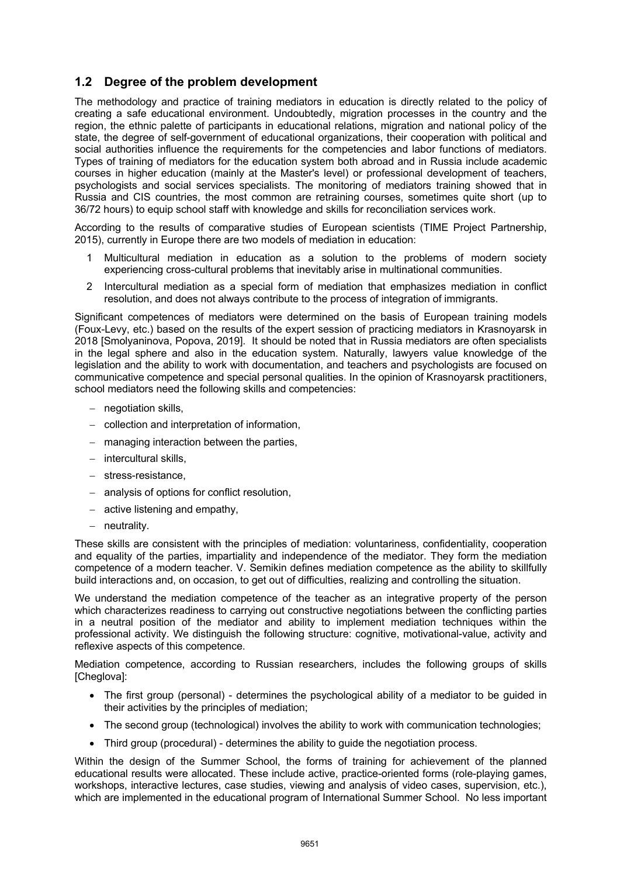#### **1.2 Degree of the problem development**

The methodology and practice of training mediators in education is directly related to the policy of creating a safe educational environment. Undoubtedly, migration processes in the country and the region, the ethnic palette of participants in educational relations, migration and national policy of the state, the degree of self-government of educational organizations, their cooperation with political and social authorities influence the requirements for the competencies and labor functions of mediators. Types of training of mediators for the education system both abroad and in Russia include academic courses in higher education (mainly at the Master's level) or professional development of teachers, psychologists and social services specialists. The monitoring of mediators training showed that in Russia and CIS countries, the most common are retraining courses, sometimes quite short (up to 36/72 hours) to equip school staff with knowledge and skills for reconciliation services work.

According to the results of comparative studies of European scientists (TIME Project Partnership, 2015), currently in Europe there are two models of mediation in education:

- 1 Multicultural mediation in education as a solution to the problems of modern society experiencing cross-cultural problems that inevitably arise in multinational communities.
- 2 Intercultural mediation as a special form of mediation that emphasizes mediation in conflict resolution, and does not always contribute to the process of integration of immigrants.

Significant competences of mediators were determined on the basis of European training models (Foux-Levy, etc.) based on the results of the expert session of practicing mediators in Krasnoyarsk in 2018 [Smolyaninova, Popova, 2019]. It should be noted that in Russia mediators are often specialists in the legal sphere and also in the education system. Naturally, lawyers value knowledge of the legislation and the ability to work with documentation, and teachers and psychologists are focused on communicative competence and special personal qualities. In the opinion of Krasnoyarsk practitioners, school mediators need the following skills and competencies:

- negotiation skills,
- collection and interpretation of information,
- managing interaction between the parties.
- intercultural skills,
- stress-resistance,
- analysis of options for conflict resolution,
- $-$  active listening and empathy,
- neutrality.

These skills are consistent with the principles of mediation: voluntariness, confidentiality, cooperation and equality of the parties, impartiality and independence of the mediator. They form the mediation competence of a modern teacher. V. Semikin defines mediation competence as the ability to skillfully build interactions and, on occasion, to get out of difficulties, realizing and controlling the situation.

We understand the mediation competence of the teacher as an integrative property of the person which characterizes readiness to carrying out constructive negotiations between the conflicting parties in a neutral position of the mediator and ability to implement mediation techniques within the professional activity. We distinguish the following structure: cognitive, motivational-value, activity and reflexive aspects of this competence.

Mediation competence, according to Russian researchers, includes the following groups of skills [Cheglova]:

- The first group (personal) determines the psychological ability of a mediator to be guided in their activities by the principles of mediation;
- The second group (technological) involves the ability to work with communication technologies;
- Third group (procedural) determines the ability to guide the negotiation process.

Within the design of the Summer School, the forms of training for achievement of the planned educational results were allocated. These include active, practice-oriented forms (role-playing games, workshops, interactive lectures, case studies, viewing and analysis of video cases, supervision, etc.), which are implemented in the educational program of International Summer School. No less important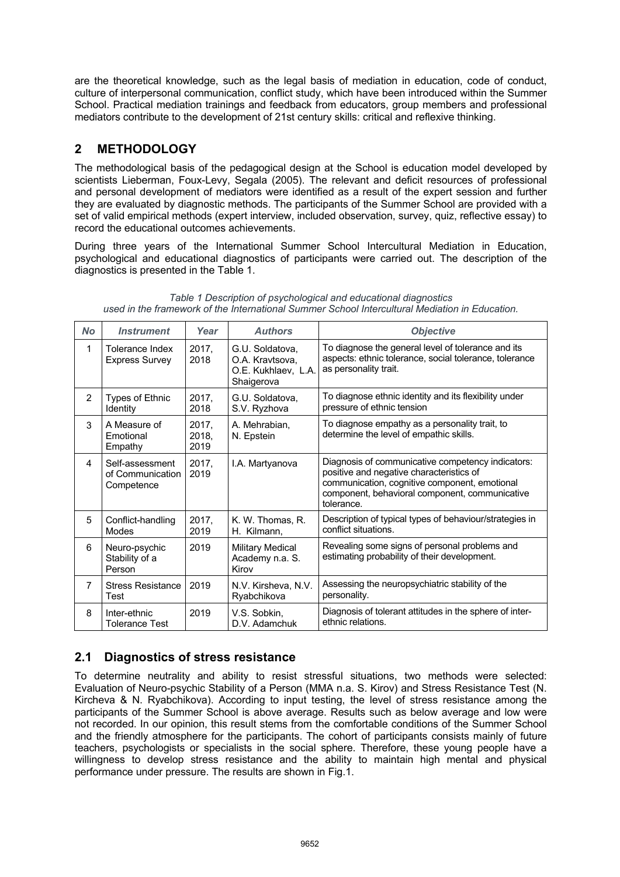are the theoretical knowledge, such as the legal basis of mediation in education, code of conduct, culture of interpersonal communication, conflict study, which have been introduced within the Summer School. Practical mediation trainings and feedback from educators, group members and professional mediators contribute to the development of 21st century skills: critical and reflexive thinking.

### **2 METHODOLOGY**

The methodological basis of the pedagogical design at the School is education model developed by scientists Lieberman, Foux-Levy, Segala (2005). The relevant and deficit resources of professional and personal development of mediators were identified as a result of the expert session and further they are evaluated by diagnostic methods. The participants of the Summer School are provided with a set of valid empirical methods (expert interview, included observation, survey, quiz, reflective essay) to record the educational outcomes achievements.

During three years of the International Summer School Intercultural Mediation in Education, psychological and educational diagnostics of participants were carried out. The description of the diagnostics is presented in the Table 1.

| <b>No</b>      | <b>Instrument</b>                                 | Year                   | <b>Authors</b>                                                          | <b>Objective</b>                                                                                                                                                                                               |  |
|----------------|---------------------------------------------------|------------------------|-------------------------------------------------------------------------|----------------------------------------------------------------------------------------------------------------------------------------------------------------------------------------------------------------|--|
| 1              | <b>Tolerance Index</b><br>Express Survey          | 2017,<br>2018          | G.U. Soldatova,<br>O.A. Kravtsova,<br>O.E. Kukhlaev, L.A.<br>Shaigerova | To diagnose the general level of tolerance and its<br>aspects: ethnic tolerance, social tolerance, tolerance<br>as personality trait.                                                                          |  |
| $\overline{2}$ | <b>Types of Ethnic</b><br>Identity                | 2017.<br>2018          | G.U. Soldatova,<br>S.V. Ryzhova                                         | To diagnose ethnic identity and its flexibility under<br>pressure of ethnic tension                                                                                                                            |  |
| 3              | A Measure of<br>Emotional<br>Empathy              | 2017,<br>2018.<br>2019 | A. Mehrabian,<br>N. Epstein                                             | To diagnose empathy as a personality trait, to<br>determine the level of empathic skills.                                                                                                                      |  |
| 4              | Self-assessment<br>of Communication<br>Competence | 2017.<br>2019          | I.A. Martyanova                                                         | Diagnosis of communicative competency indicators:<br>positive and negative characteristics of<br>communication, cognitive component, emotional<br>component, behavioral component, communicative<br>tolerance. |  |
| 5              | Conflict-handling<br>Modes                        | 2017,<br>2019          | K. W. Thomas, R.<br>H. Kilmann,                                         | Description of typical types of behaviour/strategies in<br>conflict situations.                                                                                                                                |  |
| 6              | Neuro-psychic<br>Stability of a<br>Person         | 2019                   | <b>Military Medical</b><br>Academy n.a. S.<br>Kirov                     | Revealing some signs of personal problems and<br>estimating probability of their development.                                                                                                                  |  |
| 7              | <b>Stress Resistance</b><br>Test                  | 2019                   | N.V. Kirsheva, N.V.<br>Ryabchikova                                      | Assessing the neuropsychiatric stability of the<br>personality.                                                                                                                                                |  |
| 8              | Inter-ethnic<br>Tolerance Test                    | 2019                   | V.S. Sobkin,<br>D.V. Adamchuk                                           | Diagnosis of tolerant attitudes in the sphere of inter-<br>ethnic relations.                                                                                                                                   |  |

*Table 1 Description of psychological and educational diagnostics used in the framework of the International Summer School Intercultural Mediation in Education.* 

## **2.1 Diagnostics of stress resistance**

To determine neutrality and ability to resist stressful situations, two methods were selected: Evaluation of Neuro-psychic Stability of a Person (MMA n.a. S. Kirov) and Stress Resistance Test (N. Kircheva & N. Ryabchikova). According to input testing, the level of stress resistance among the participants of the Summer School is above average. Results such as below average and low were not recorded. In our opinion, this result stems from the comfortable conditions of the Summer School and the friendly atmosphere for the participants. The cohort of participants consists mainly of future teachers, psychologists or specialists in the social sphere. Therefore, these young people have a willingness to develop stress resistance and the ability to maintain high mental and physical performance under pressure. The results are shown in Fig.1.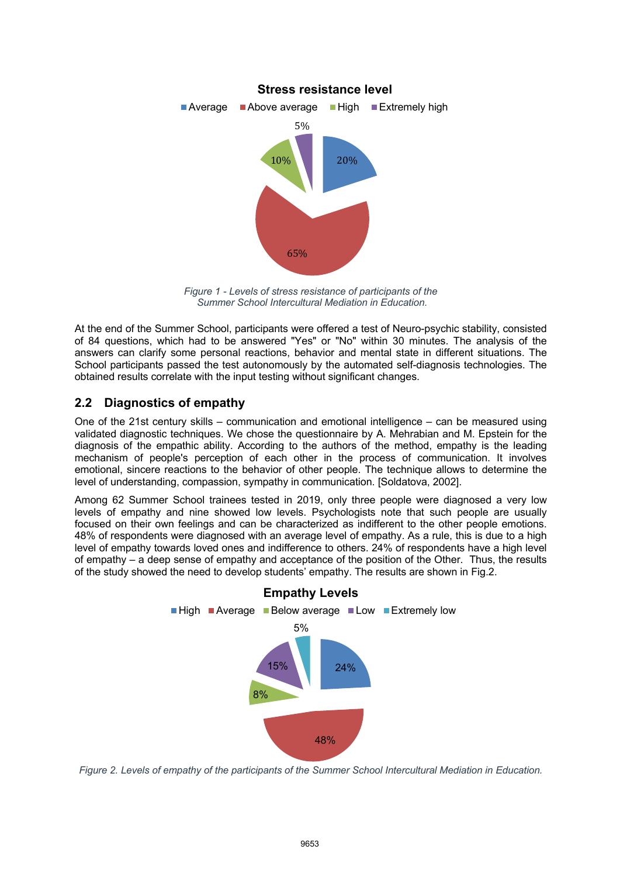

*Figure 1 - Levels of stress resistance of participants of the Summer School Intercultural Mediation in Education.* 

At the end of the Summer School, participants were offered a test of Neuro-psychic stability, consisted of 84 questions, which had to be answered "Yes" or "No" within 30 minutes. The analysis of the answers can clarify some personal reactions, behavior and mental state in different situations. The School participants passed the test autonomously by the automated self-diagnosis technologies. The obtained results correlate with the input testing without significant changes.

### **2.2 Diagnostics of empathy**

One of the 21st century skills – communication and emotional intelligence – can be measured using validated diagnostic techniques. We chose the questionnaire by A. Mehrabian and M. Epstein for the diagnosis of the empathic ability. According to the authors of the method, empathy is the leading mechanism of people's perception of each other in the process of communication. It involves emotional, sincere reactions to the behavior of other people. The technique allows to determine the level of understanding, compassion, sympathy in communication. [Soldatova, 2002].

Among 62 Summer School trainees tested in 2019, only three people were diagnosed a very low levels of empathy and nine showed low levels. Psychologists note that such people are usually focused on their own feelings and can be characterized as indifferent to the other people emotions. 48% of respondents were diagnosed with an average level of empathy. As a rule, this is due to a high level of empathy towards loved ones and indifference to others. 24% of respondents have a high level of empathy – a deep sense of empathy and acceptance of the position of the Other. Thus, the results of the study showed the need to develop students' empathy. The results are shown in Fig.2.



*Figure 2. Levels of empathy of the participants of the Summer School Intercultural Mediation in Education.*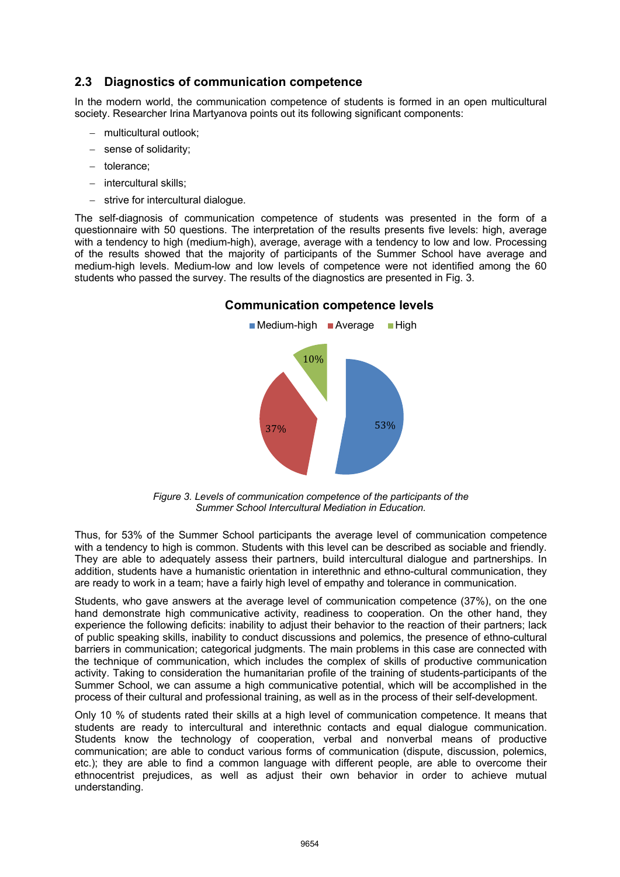#### **2.3 Diagnostics of communication competence**

In the modern world, the communication competence of students is formed in an open multicultural society. Researcher Irina Martyanova points out its following significant components:

- multicultural outlook:
- sense of solidarity;
- tolerance;
- intercultural skills;
- strive for intercultural dialogue.

The self-diagnosis of communication competence of students was presented in the form of a questionnaire with 50 questions. The interpretation of the results presents five levels: high, average with a tendency to high (medium-high), average, average with a tendency to low and low. Processing of the results showed that the majority of participants of the Summer School have average and medium-high levels. Medium-low and low levels of competence were not identified among the 60 students who passed the survey. The results of the diagnostics are presented in Fig. 3.



#### **Communication competence levels**

*Figure 3. Levels of communication competence of the participants of the Summer School Intercultural Mediation in Education.* 

Thus, for 53% of the Summer School participants the average level of communication competence with a tendency to high is common. Students with this level can be described as sociable and friendly. They are able to adequately assess their partners, build intercultural dialogue and partnerships. In addition, students have a humanistic orientation in interethnic and ethno-cultural communication, they are ready to work in a team; have a fairly high level of empathy and tolerance in communication.

Students, who gave answers at the average level of communication competence (37%), on the one hand demonstrate high communicative activity, readiness to cooperation. On the other hand, they experience the following deficits: inability to adjust their behavior to the reaction of their partners; lack of public speaking skills, inability to conduct discussions and polemics, the presence of ethno-cultural barriers in communication; categorical judgments. The main problems in this case are connected with the technique of communication, which includes the complex of skills of productive communication activity. Taking to consideration the humanitarian profile of the training of students-participants of the Summer School, we can assume a high communicative potential, which will be accomplished in the process of their cultural and professional training, as well as in the process of their self-development.

Only 10 % of students rated their skills at a high level of communication competence. It means that students are ready to intercultural and interethnic contacts and equal dialogue communication. Students know the technology of cooperation, verbal and nonverbal means of productive communication; are able to conduct various forms of communication (dispute, discussion, polemics, etc.); they are able to find a common language with different people, are able to overcome their ethnocentrist prejudices, as well as adjust their own behavior in order to achieve mutual understanding.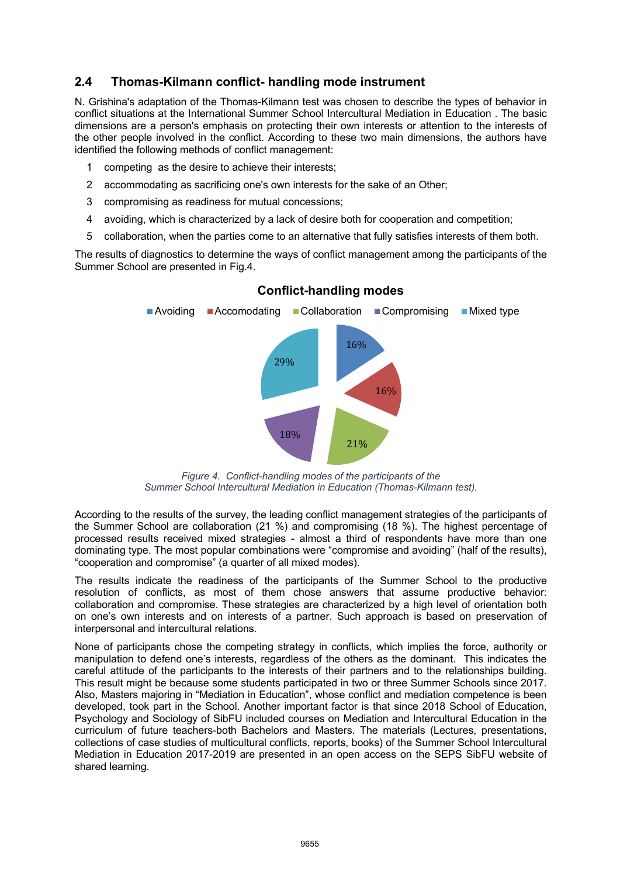### **2.4 Thomas-Kilmann conflict- handling mode instrument**

N. Grishina's adaptation of the Thomas-Kilmann test was chosen to describe the types of behavior in conflict situations at the International Summer School Intercultural Mediation in Education . The basic dimensions are a person's emphasis on protecting their own interests or attention to the interests of the other people involved in the conflict. According to these two main dimensions, the authors have identified the following methods of conflict management:

- 1 competing as the desire to achieve their interests;
- 2 accommodating as sacrificing one's own interests for the sake of an Other;
- 3 compromising as readiness for mutual concessions;
- 4 avoiding, which is characterized by a lack of desire both for cooperation and competition;
- 5 collaboration, when the parties come to an alternative that fully satisfies interests of them both.

The results of diagnostics to determine the ways of conflict management among the participants of the Summer School are presented in Fig.4.



#### **Conflict-handling modes**

*Figure 4. Conflict-handling modes of the participants of the Summer School Intercultural Mediation in Education (Thomas-Kilmann test).* 

According to the results of the survey, the leading conflict management strategies of the participants of the Summer School are collaboration (21 %) and compromising (18 %). The highest percentage of processed results received mixed strategies - almost a third of respondents have more than one dominating type. The most popular combinations were "compromise and avoiding" (half of the results), "cooperation and compromise" (a quarter of all mixed modes).

The results indicate the readiness of the participants of the Summer School to the productive resolution of conflicts, as most of them chose answers that assume productive behavior: collaboration and compromise. These strategies are characterized by a high level of orientation both on one's own interests and on interests of a partner. Such approach is based on preservation of interpersonal and intercultural relations.

None of participants chose the competing strategy in conflicts, which implies the force, authority or manipulation to defend one's interests, regardless of the others as the dominant. This indicates the careful attitude of the participants to the interests of their partners and to the relationships building. This result might be because some students participated in two or three Summer Schools since 2017. Also, Masters majoring in "Mediation in Education", whose conflict and mediation competence is been developed, took part in the School. Another important factor is that since 2018 School of Education, Psychology and Sociology of SibFU included courses on Mediation and Intercultural Education in the curriculum of future teachers-both Bachelors and Masters. The materials (Lectures, presentations, collections of case studies of multicultural conflicts, reports, books) of the Summer School Intercultural Mediation in Education 2017-2019 are presented in an open access on the SEPS SibFU website of shared learning.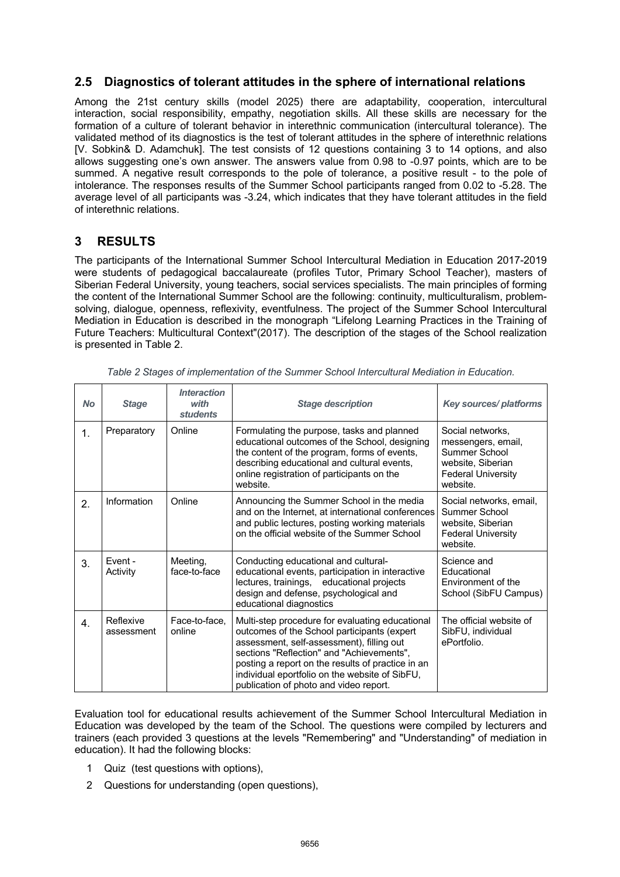#### **2.5 Diagnostics of tolerant attitudes in the sphere of international relations**

Among the 21st century skills (model 2025) there are adaptability, cooperation, intercultural interaction, social responsibility, empathy, negotiation skills. All these skills are necessary for the formation of a culture of tolerant behavior in interethnic communication (intercultural tolerance). The validated method of its diagnostics is the test of tolerant attitudes in the sphere of interethnic relations [V. Sobkin& D. Adamchuk]. The test consists of 12 questions containing 3 to 14 options, and also allows suggesting one's own answer. The answers value from 0.98 to -0.97 points, which are to be summed. A negative result corresponds to the pole of tolerance, a positive result - to the pole of intolerance. The responses results of the Summer School participants ranged from 0.02 to -5.28. The average level of all participants was -3.24, which indicates that they have tolerant attitudes in the field of interethnic relations.

#### **3 RESULTS**

The participants of the International Summer School Intercultural Mediation in Education 2017-2019 were students of pedagogical baccalaureate (profiles Tutor, Primary School Teacher), masters of Siberian Federal University, young teachers, social services specialists. The main principles of forming the content of the International Summer School are the following: continuity, multiculturalism, problemsolving, dialogue, openness, reflexivity, eventfulness. The project of the Summer School Intercultural Mediation in Education is described in the monograph "Lifelong Learning Practices in the Training of Future Teachers: Multicultural Context"(2017). The description of the stages of the School realization is presented in Table 2.

| <b>No</b> | <b>Stage</b>            | <b>Interaction</b><br>with<br><b>students</b> | <b>Stage description</b>                                                                                                                                                                                                                                                                                                                  | <b>Key sources/platforms</b>                                                                                          |
|-----------|-------------------------|-----------------------------------------------|-------------------------------------------------------------------------------------------------------------------------------------------------------------------------------------------------------------------------------------------------------------------------------------------------------------------------------------------|-----------------------------------------------------------------------------------------------------------------------|
| 1.        | Preparatory             | Online                                        | Formulating the purpose, tasks and planned<br>educational outcomes of the School, designing<br>the content of the program, forms of events,<br>describing educational and cultural events,<br>online registration of participants on the<br>website.                                                                                      | Social networks,<br>messengers, email,<br>Summer School<br>website, Siberian<br><b>Federal University</b><br>website. |
| 2.        | Information             | Online                                        | Announcing the Summer School in the media<br>and on the Internet, at international conferences<br>and public lectures, posting working materials<br>on the official website of the Summer School                                                                                                                                          | Social networks, email,<br>Summer School<br>website, Siberian<br><b>Federal University</b><br>website.                |
| 3.        | Event -<br>Activity     | Meeting,<br>face-to-face                      | Conducting educational and cultural-<br>educational events, participation in interactive<br>lectures, trainings, educational projects<br>design and defense, psychological and<br>educational diagnostics                                                                                                                                 | Science and<br>Educational<br>Environment of the<br>School (SibFU Campus)                                             |
| 4.        | Reflexive<br>assessment | Face-to-face,<br>online                       | Multi-step procedure for evaluating educational<br>outcomes of the School participants (expert<br>assessment, self-assessment), filling out<br>sections "Reflection" and "Achievements",<br>posting a report on the results of practice in an<br>individual eportfolio on the website of SibFU,<br>publication of photo and video report. | The official website of<br>SibFU, individual<br>ePortfolio.                                                           |

*Table 2 Stages of implementation of the Summer School Intercultural Mediation in Education.* 

Evaluation tool for educational results achievement of the Summer School Intercultural Mediation in Education was developed by the team of the School. The questions were compiled by lecturers and trainers (each provided 3 questions at the levels "Remembering" and "Understanding" of mediation in education). It had the following blocks:

- 1 Quiz (test questions with options),
- 2 Questions for understanding (open questions),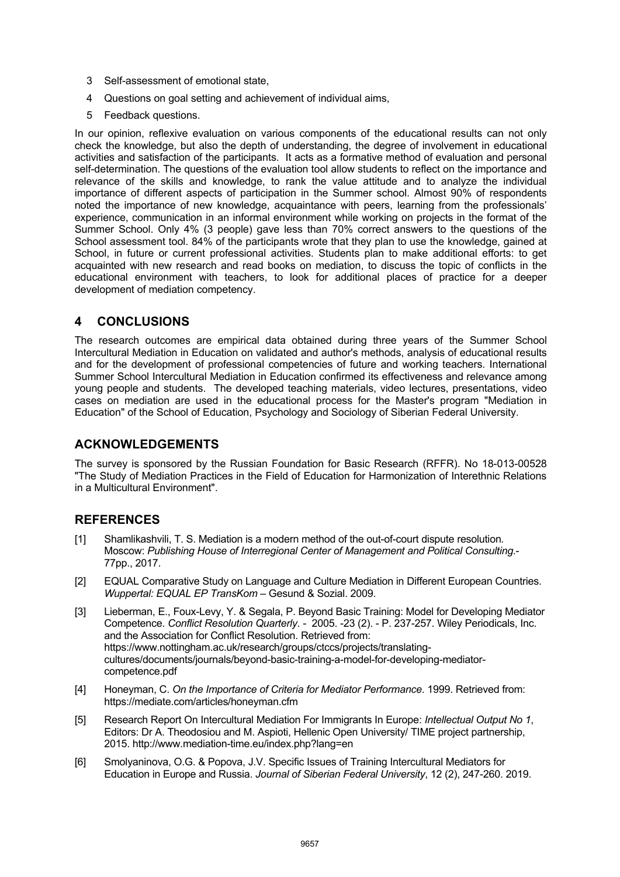- 3 Self-assessment of emotional state,
- 4 Questions on goal setting and achievement of individual aims,
- 5 Feedback questions.

In our opinion, reflexive evaluation on various components of the educational results can not only check the knowledge, but also the depth of understanding, the degree of involvement in educational activities and satisfaction of the participants. It acts as a formative method of evaluation and personal self-determination. The questions of the evaluation tool allow students to reflect on the importance and relevance of the skills and knowledge, to rank the value attitude and to analyze the individual importance of different aspects of participation in the Summer school. Almost 90% of respondents noted the importance of new knowledge, acquaintance with peers, learning from the professionals' experience, communication in an informal environment while working on projects in the format of the Summer School. Only 4% (3 people) gave less than 70% correct answers to the questions of the School assessment tool. 84% of the participants wrote that they plan to use the knowledge, gained at School, in future or current professional activities. Students plan to make additional efforts: to get acquainted with new research and read books on mediation, to discuss the topic of conflicts in the educational environment with teachers, to look for additional places of practice for a deeper development of mediation competency.

#### **4 CONCLUSIONS**

The research outcomes are empirical data obtained during three years of the Summer School Intercultural Mediation in Education on validated and author's methods, analysis of educational results and for the development of professional competencies of future and working teachers. International Summer School Intercultural Mediation in Education confirmed its effectiveness and relevance among young people and students. The developed teaching materials, video lectures, presentations, video cases on mediation are used in the educational process for the Master's program "Mediation in Education" of the School of Education, Psychology and Sociology of Siberian Federal University.

#### **ACKNOWLEDGEMENTS**

The survey is sponsored by the Russian Foundation for Basic Research (RFFR). No 18-013-00528 "The Study of Mediation Practices in the Field of Education for Harmonization of Interethnic Relations in a Multicultural Environment".

#### **REFERENCES**

- [1] Shamlikashvili, T. S. Mediation is a modern method of the out-of-court dispute resolution*.* Moscow: *Publishing House of Interregional Center of Management and Political Consulting*.- 77pp., 2017.
- [2] EQUAL Comparative Study on Language and Culture Mediation in Different European Countries. *Wuppertal: EQUAL EP TransKom* – Gesund & Sozial. 2009.
- [3] Lieberman, E., Foux-Levy, Y. & Segala, P. Beyond Basic Training: Model for Developing Mediator Competence. *Conflict Resolution Quarterly*. - 2005. -23 (2). - P. 237-257. Wiley Periodicals, Inc. and the Association for Conflict Resolution. Retrieved from: https://www.nottingham.ac.uk/research/groups/ctccs/projects/translatingcultures/documents/journals/beyond-basic-training-a-model-for-developing-mediatorcompetence.pdf
- [4] Honeyman, C. *On the Importance of Criteria for Mediator Performance*. 1999. Retrieved from: https://mediate.com/articles/honeyman.cfm
- [5] Research Report On Intercultural Mediation For Immigrants In Europe: *Intellectual Output No 1*, Editors: Dr A. Theodosiou and M. Aspioti, Hellenic Open University/ TIME project partnership, 2015. http://www.mediation-time.eu/index.php?lang=en
- [6] Smolyaninova, O.G. & Popova, J.V. Specific Issues of Training Intercultural Mediators for Education in Europe and Russia. *Journal of Siberian Federal University*, 12 (2), 247-260. 2019.